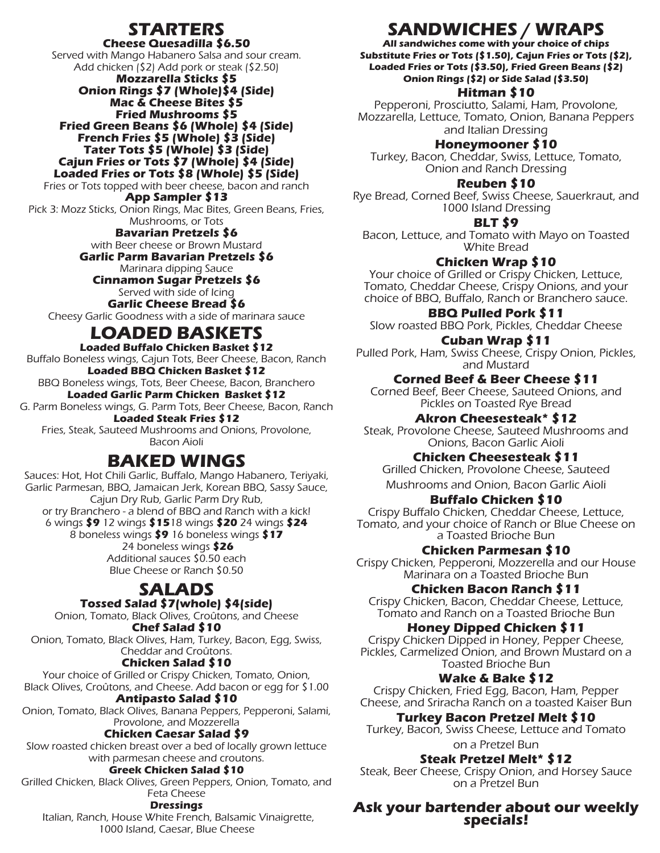# **STARTERS**

#### **Cheese Quesadilla \$6.50**

Served with Mango Habanero Salsa and sour cream. Add chicken (\$2) Add pork or steak (\$2.50) **Mozzarella Sticks \$5 Onion Rings \$7 (Whole)\$4 (Side) Mac & Cheese Bites \$5 Fried Mushrooms \$5 Fried Green Beans \$6 (Whole) \$4 (Side) French Fries \$5 (Whole) \$3 (Side) Tater Tots \$5 (Whole) \$3 (Side) Cajun Fries or Tots \$7 (Whole) \$4 (Side) Loaded Fries or Tots \$8 (Whole) \$5 (Side)** Fries or Tots topped with beer cheese, bacon and ranch **App Sampler \$13** Pick 3: Mozz Sticks, Onion Rings, Mac Bites, Green Beans, Fries, Mushrooms, or Tots

> **Bavarian Pretzels \$6** with Beer cheese or Brown Mustard **Garlic Parm Bavarian Pretzels \$6** Marinara dipping Sauce

**Cinnamon Sugar Pretzels \$6** Served with side of Icing **Garlic Cheese Bread \$6** Cheesy Garlic Goodness with a side of marinara sauce

# **LOADED BASKETS**

**Loaded Buffalo Chicken Basket \$12** Buffalo Boneless wings, Cajun Tots, Beer Cheese, Bacon, Ranch **Loaded BBQ Chicken Basket \$12** BBQ Boneless wings, Tots, Beer Cheese, Bacon, Branchero **Loaded Garlic Parm Chicken Basket \$12** G. Parm Boneless wings, G. Parm Tots, Beer Cheese, Bacon, Ranch **Loaded Steak Fries \$12** Fries, Steak, Sauteed Mushrooms and Onions, Provolone, Bacon Aioli

## **BAKED WINGS**

Sauces: Hot, Hot Chili Garlic, Buffalo, Mango Habanero, Teriyaki, Garlic Parmesan, BBQ, Jamaican Jerk, Korean BBQ, Sassy Sauce, Cajun Dry Rub, Garlic Parm Dry Rub, or try Branchero - a blend of BBQ and Ranch with a kick! 6 wings **\$9** 12 wings **\$15**18 wings **\$20** 24 wings **\$24** 8 boneless wings **\$9** 16 boneless wings **\$17** 24 boneless wings **\$26** Additional sauces \$0.50 each Blue Cheese or Ranch \$0.50

# **SALADS**

**Tossed Salad \$7(whole) \$4(side)** Onion, Tomato, Black Olives, Croûtons, and Cheese **Chef Salad \$10**

Onion, Tomato, Black Olives, Ham, Turkey, Bacon, Egg, Swiss, Cheddar and Croûtons.

## **Chicken Salad \$10**

Your choice of Grilled or Crispy Chicken, Tomato, Onion, Black Olives, Croûtons, and Cheese. Add bacon or egg for \$1.00 **Antipasto Salad \$10**

Onion, Tomato, Black Olives, Banana Peppers, Pepperoni, Salami, Provolone, and Mozzerella

## **Chicken Caesar Salad \$9**

Slow roasted chicken breast over a bed of locally grown lettuce with parmesan cheese and croutons.

#### **Greek Chicken Salad \$10**

Grilled Chicken, Black Olives, Green Peppers, Onion, Tomato, and Feta Cheese

#### **Dressings**

Italian, Ranch, House White French, Balsamic Vinaigrette, 1000 Island, Caesar, Blue Cheese

# **SANDWICHES / WRAPS**

**All sandwiches come with your choice of chips Substitute Fries or Tots (\$1.50), Cajun Fries or Tots (\$2), Loaded Fries or Tots (\$3.50), Fried Green Beans (\$2) Onion Rings (\$2) or Side Salad (\$3.50)**

## **Hitman \$10**

Pepperoni, Prosciutto, Salami, Ham, Provolone, Mozzarella, Lettuce, Tomato, Onion, Banana Peppers and Italian Dressing

**Honeymooner \$10**

Turkey, Bacon, Cheddar, Swiss, Lettuce, Tomato, Onion and Ranch Dressing

## **Reuben \$10**

Rye Bread, Corned Beef, Swiss Cheese, Sauerkraut, and 1000 Island Dressing

**BLT \$9**

Bacon, Lettuce, and Tomato with Mayo on Toasted White Bread

## **Chicken Wrap \$10**

Your choice of Grilled or Crispy Chicken, Lettuce, Tomato, Cheddar Cheese, Crispy Onions, and your choice of BBQ, Buffalo, Ranch or Branchero sauce.

**BBQ Pulled Pork \$11**

Slow roasted BBQ Pork, Pickles, Cheddar Cheese

**Cuban Wrap \$11** Pulled Pork, Ham, Swiss Cheese, Crispy Onion, Pickles, and Mustard

**Corned Beef & Beer Cheese \$11** Corned Beef, Beer Cheese, Sauteed Onions, and Pickles on Toasted Rye Bread

**Akron Cheesesteak\* \$12**

Steak, Provolone Cheese, Sauteed Mushrooms and Onions, Bacon Garlic Aioli

## **Chicken Cheesesteak \$11**

Grilled Chicken, Provolone Cheese, Sauteed Mushrooms and Onion, Bacon Garlic Aioli

## **Buffalo Chicken \$10**

Crispy Buffalo Chicken, Cheddar Cheese, Lettuce, Tomato, and your choice of Ranch or Blue Cheese on a Toasted Brioche Bun

## **Chicken Parmesan \$10**

Crispy Chicken, Pepperoni, Mozzerella and our House Marinara on a Toasted Brioche Bun

## **Chicken Bacon Ranch \$11**

Crispy Chicken, Bacon, Cheddar Cheese, Lettuce, Tomato and Ranch on a Toasted Brioche Bun

## **Honey Dipped Chicken \$11**

Crispy Chicken Dipped in Honey, Pepper Cheese, Pickles, Carmelized Onion, and Brown Mustard on a Toasted Brioche Bun

## **Wake & Bake \$12**

Crispy Chicken, Fried Egg, Bacon, Ham, Pepper Cheese, and Sriracha Ranch on a toasted Kaiser Bun

## **Turkey Bacon Pretzel Melt \$10**

Turkey, Bacon, Swiss Cheese, Lettuce and Tomato on a Pretzel Bun

**Steak Pretzel Melt\* \$12**

Steak, Beer Cheese, Crispy Onion, and Horsey Sauce on a Pretzel Bun

# **Ask your bartender about our weekly specials!**